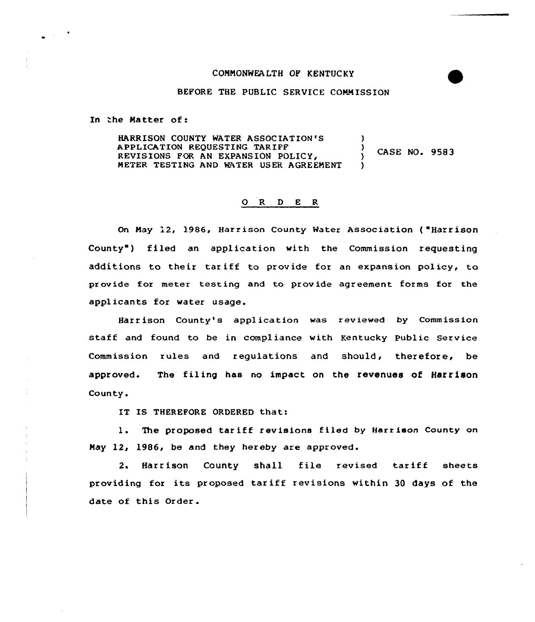## COMMONWEALTH OF KENTUCKY

## BEFORE THE PUBLIC SERVICE COMMISSION

In the Matter of:

HARRISON COUNTY WATER ASSOCIATION 'S ) APPLICATION REQUESTING TARIFF A CASE NO. 9583 REVISIONS FOR AN EXPANSION ) METER TESTING AND WATER USER AGREEMENT )

## O R D E R

On May 12, 1986, Harrison County Water Association ("Harrison County") filed an application with the Commission requesting additions to their tar iff to provide for an expansion policy, to provide for meter testing and to provide agreement forms for the applicants for water usage.

Harrison County's application was reviewed by Commission staff and found to be in compliance with Kentucky Public Service Commission rules and regulations and should, therefore, be approved. The filing has no impact on the revenues of Harrison County.

IT IS THEREFORE ORDERED that:

1. The proposed tariff revisions filed by Harrison County on May 12, 1986, be and they hereby are approved.

2. Harrison County shall file revised tariff sheets providing for its proposed tar iff revisions within <sup>30</sup> days of the date of this Order.